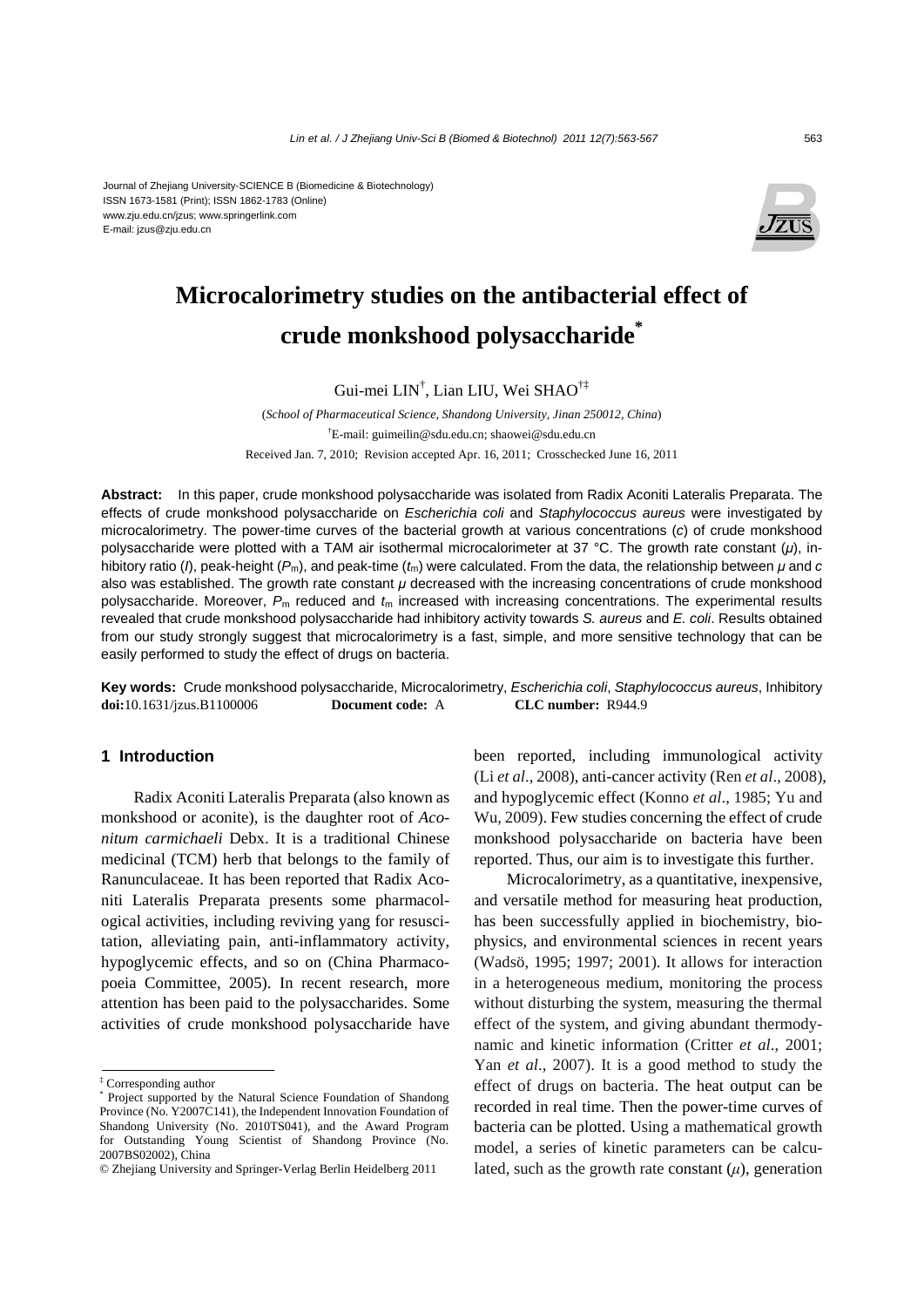#### Journal of Zhejiang University-SCIENCE B (Biomedicine & Biotechnology) ISSN 1673-1581 (Print); ISSN 1862-1783 (Online) www.zju.edu.cn/jzus; www.springerlink.com E-mail: jzus@zju.edu.cn



# **Microcalorimetry studies on the antibacterial effect of crude monkshood polysaccharide\***

Gui-mei LIN† , Lian LIU, Wei SHAO†‡

(*School of Pharmaceutical Science, Shandong University, Jinan 250012, China*) † E-mail: guimeilin@sdu.edu.cn; shaowei@sdu.edu.cn Received Jan. 7, 2010; Revision accepted Apr. 16, 2011; Crosschecked June 16, 2011

**Abstract:** In this paper, crude monkshood polysaccharide was isolated from Radix Aconiti Lateralis Preparata. The effects of crude monkshood polysaccharide on *Escherichia coli* and *Staphylococcus aureus* were investigated by microcalorimetry. The power-time curves of the bacterial growth at various concentrations (*c*) of crude monkshood polysaccharide were plotted with a TAM air isothermal microcalorimeter at 37 °C. The growth rate constant (*μ*), inhibitory ratio (*I*), peak-height (*P*m), and peak-time (*t*m) were calculated. From the data, the relationship between *μ* and *c* also was established. The growth rate constant *μ* decreased with the increasing concentrations of crude monkshood polysaccharide. Moreover, *P*m reduced and *t*m increased with increasing concentrations. The experimental results revealed that crude monkshood polysaccharide had inhibitory activity towards *S. aureus* and *E. coli*. Results obtained from our study strongly suggest that microcalorimetry is a fast, simple, and more sensitive technology that can be easily performed to study the effect of drugs on bacteria.

**Key words:** Crude monkshood polysaccharide, Microcalorimetry, *Escherichia coli*, *Staphylococcus aureus*, Inhibitory **doi:**10.1631/jzus.B1100006 **Document code:** A **CLC number:** R944.9

# **1 Introduction**

Radix Aconiti Lateralis Preparata (also known as monkshood or aconite), is the daughter root of *Aconitum carmichaeli* Debx. It is a traditional Chinese medicinal (TCM) herb that belongs to the family of Ranunculaceae. It has been reported that Radix Aconiti Lateralis Preparata presents some pharmacological activities, including reviving yang for resuscitation, alleviating pain, anti-inflammatory activity, hypoglycemic effects, and so on (China Pharmacopoeia Committee, 2005). In recent research, more attention has been paid to the polysaccharides. Some activities of crude monkshood polysaccharide have

been reported, including immunological activity (Li *et al*., 2008), anti-cancer activity (Ren *et al*., 2008), and hypoglycemic effect (Konno *et al*., 1985; Yu and Wu, 2009). Few studies concerning the effect of crude monkshood polysaccharide on bacteria have been reported. Thus, our aim is to investigate this further.

Microcalorimetry, as a quantitative, inexpensive, and versatile method for measuring heat production, has been successfully applied in biochemistry, biophysics, and environmental sciences in recent years (Wadsö, 1995; 1997; 2001). It allows for interaction in a heterogeneous medium, monitoring the process without disturbing the system, measuring the thermal effect of the system, and giving abundant thermodynamic and kinetic information (Critter *et al*., 2001; Yan *et al*., 2007). It is a good method to study the effect of drugs on bacteria. The heat output can be recorded in real time. Then the power-time curves of bacteria can be plotted. Using a mathematical growth model, a series of kinetic parameters can be calculated, such as the growth rate constant  $(\mu)$ , generation

<sup>‡</sup> Corresponding author

<sup>\*</sup> Project supported by the Natural Science Foundation of Shandong Province (No. Y2007C141), the Independent Innovation Foundation of Shandong University (No. 2010TS041), and the Award Program for Outstanding Young Scientist of Shandong Province (No. 2007BS02002), China

<sup>©</sup> Zhejiang University and Springer-Verlag Berlin Heidelberg 2011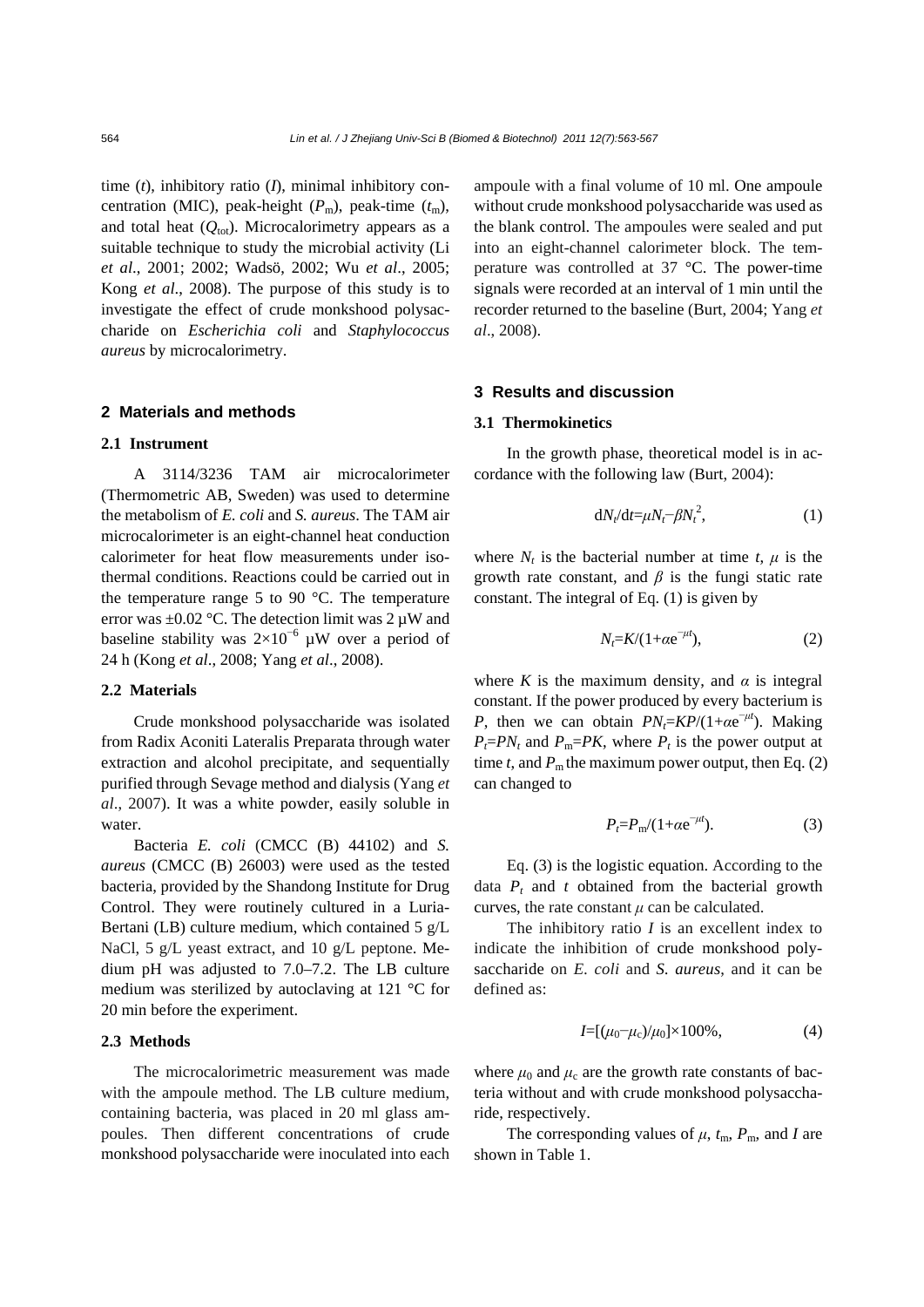time (*t*), inhibitory ratio (*I*), minimal inhibitory concentration (MIC), peak-height (*P*m), peak-time (*t*m), and total heat  $(Q_{\text{tot}})$ . Microcalorimetry appears as a suitable technique to study the microbial activity (Li *et al*., 2001; 2002; Wadsö, 2002; Wu *et al*., 2005; Kong *et al*., 2008). The purpose of this study is to investigate the effect of crude monkshood polysaccharide on *Escherichia coli* and *Staphylococcus aureus* by microcalorimetry.

#### **2 Materials and methods**

#### **2.1 Instrument**

A 3114/3236 TAM air microcalorimeter (Thermometric AB, Sweden) was used to determine the metabolism of *E. coli* and *S. aureus*. The TAM air microcalorimeter is an eight-channel heat conduction calorimeter for heat flow measurements under isothermal conditions. Reactions could be carried out in the temperature range 5 to 90 $\degree$ C. The temperature error was  $\pm 0.02$  °C. The detection limit was 2  $\mu$ W and baseline stability was  $2\times10^{-6}$  µW over a period of 24 h (Kong *et al*., 2008; Yang *et al*., 2008).

## **2.2 Materials**

Crude monkshood polysaccharide was isolated from Radix Aconiti Lateralis Preparata through water extraction and alcohol precipitate, and sequentially purified through Sevage method and dialysis (Yang *et al*., 2007). It was a white powder, easily soluble in water.

Bacteria *E. coli* (CMCC (B) 44102) and *S. aureus* (CMCC (B) 26003) were used as the tested bacteria, provided by the Shandong Institute for Drug Control. They were routinely cultured in a Luria-Bertani (LB) culture medium, which contained 5 g/L NaCl, 5 g/L yeast extract, and 10 g/L peptone. Medium pH was adjusted to 7.0–7.2. The LB culture medium was sterilized by autoclaving at 121 °C for 20 min before the experiment.

### **2.3 Methods**

The microcalorimetric measurement was made with the ampoule method. The LB culture medium, containing bacteria, was placed in 20 ml glass ampoules. Then different concentrations of crude monkshood polysaccharide were inoculated into each

ampoule with a final volume of 10 ml. One ampoule without crude monkshood polysaccharide was used as the blank control. The ampoules were sealed and put into an eight-channel calorimeter block. The temperature was controlled at 37 °C. The power-time signals were recorded at an interval of 1 min until the recorder returned to the baseline (Burt, 2004; Yang *et al*., 2008).

### **3 Results and discussion**

## **3.1 Thermokinetics**

In the growth phase, theoretical model is in accordance with the following law (Burt, 2004):

$$
dN_t/dt = \mu N_t - \beta N_t^2, \qquad (1)
$$

where  $N_t$  is the bacterial number at time  $t$ ,  $\mu$  is the growth rate constant, and  $\beta$  is the fungi static rate constant. The integral of Eq. (1) is given by

$$
N_t = K/(1 + \alpha e^{-\mu t}),\tag{2}
$$

where *K* is the maximum density, and  $\alpha$  is integral constant. If the power produced by every bacterium is *P*, then we can obtain  $PN_t = KP/(1+\alpha e^{-\mu t})$ . Making  $P_t = PN_t$  and  $P_m = PK$ , where  $P_t$  is the power output at time *t*, and  $P_m$  the maximum power output, then Eq. (2) can changed to

$$
P_t = P_m / (1 + \alpha e^{-\mu t}).\tag{3}
$$

Eq. (3) is the logistic equation. According to the data  $P_t$  and  $t$  obtained from the bacterial growth curves, the rate constant  $\mu$  can be calculated.

The inhibitory ratio *I* is an excellent index to indicate the inhibition of crude monkshood polysaccharide on *E. coli* and *S. aureus*, and it can be defined as:

$$
I = [(\mu_0 - \mu_c)/\mu_0] \times 100\%,\tag{4}
$$

where  $\mu_0$  and  $\mu_c$  are the growth rate constants of bacteria without and with crude monkshood polysaccharide, respectively.

The corresponding values of  $\mu$ ,  $t_m$ ,  $P_m$ , and *I* are shown in Table 1.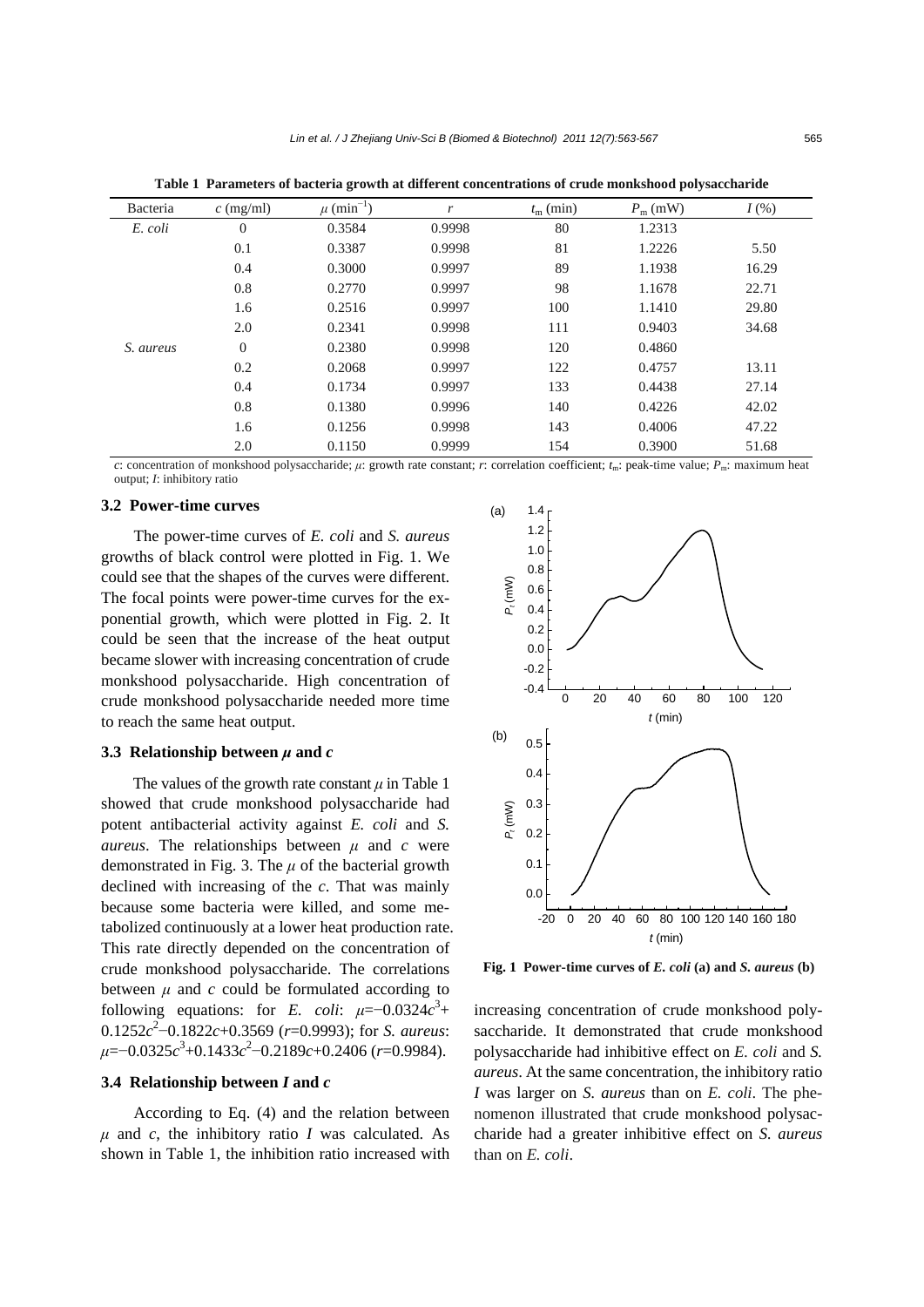| Bacteria  | $c \text{ (mg/ml)}$ | $\mu$ (min <sup>-1</sup> ) | r      | $t_{\rm m}$ (min) | $P_{\rm m}$ (mW) | $I(\%)$ |
|-----------|---------------------|----------------------------|--------|-------------------|------------------|---------|
| E. coli   | $\theta$            | 0.3584                     | 0.9998 | 80                | 1.2313           |         |
|           | 0.1                 | 0.3387                     | 0.9998 | 81                | 1.2226           | 5.50    |
|           | 0.4                 | 0.3000                     | 0.9997 | 89                | 1.1938           | 16.29   |
|           | 0.8                 | 0.2770                     | 0.9997 | 98                | 1.1678           | 22.71   |
|           | 1.6                 | 0.2516                     | 0.9997 | 100               | 1.1410           | 29.80   |
|           | 2.0                 | 0.2341                     | 0.9998 | 111               | 0.9403           | 34.68   |
| S. aureus | $\theta$            | 0.2380                     | 0.9998 | 120               | 0.4860           |         |
|           | 0.2                 | 0.2068                     | 0.9997 | 122               | 0.4757           | 13.11   |
|           | 0.4                 | 0.1734                     | 0.9997 | 133               | 0.4438           | 27.14   |
|           | 0.8                 | 0.1380                     | 0.9996 | 140               | 0.4226           | 42.02   |
|           | 1.6                 | 0.1256                     | 0.9998 | 143               | 0.4006           | 47.22   |
|           | 2.0                 | 0.1150                     | 0.9999 | 154               | 0.3900           | 51.68   |

**Table 1 Parameters of bacteria growth at different concentrations of crude monkshood polysaccharide**

*c*: concentration of monkshood polysaccharide; *μ*: growth rate constant; *r*: correlation coefficient; *t*<sub>m</sub>: peak-time value; *P<sub>m</sub>*: maximum heat output; *I*: inhibitory ratio

# **3.2 Power-time curves**

The power-time curves of *E. coli* and *S. aureus* growths of black control were plotted in Fig. 1. We could see that the shapes of the curves were different. The focal points were power-time curves for the exponential growth, which were plotted in Fig. 2. It could be seen that the increase of the heat output became slower with increasing concentration of crude monkshood polysaccharide. High concentration of crude monkshood polysaccharide needed more time to reach the same heat output.

#### **3.3 Relationship between** *μ* **and** *c*

The values of the growth rate constant  $\mu$  in Table 1 showed that crude monkshood polysaccharide had potent antibacterial activity against *E. coli* and *S. aureus*. The relationships between *μ* and *c* were demonstrated in Fig. 3. The *μ* of the bacterial growth declined with increasing of the *c*. That was mainly because some bacteria were killed, and some metabolized continuously at a lower heat production rate. This rate directly depended on the concentration of crude monkshood polysaccharide. The correlations between  $\mu$  and  $c$  could be formulated according to following equations: for *E. coli*:  $\mu = -0.0324c^3 +$ 0.1252*c* 2 −0.1822*c*+0.3569 (*r*=0.9993); for *S. aureus*: *μ*=−0.0325*c* 3 +0.1433*c* 2 −0.2189*c*+0.2406 (*r*=0.9984).

#### **3.4 Relationship between** *I* **and** *c*

According to Eq. (4) and the relation between  $\mu$  and *c*, the inhibitory ratio *I* was calculated. As shown in Table 1, the inhibition ratio increased with



**Fig. 1 Power-time curves of** *E. coli* **(a) and** *S. aureus* **(b)**

increasing concentration of crude monkshood polysaccharide. It demonstrated that crude monkshood polysaccharide had inhibitive effect on *E. coli* and *S. aureus*. At the same concentration, the inhibitory ratio *I* was larger on *S. aureus* than on *E. coli*. The phenomenon illustrated that crude monkshood polysaccharide had a greater inhibitive effect on *S. aureus* than on *E. coli*.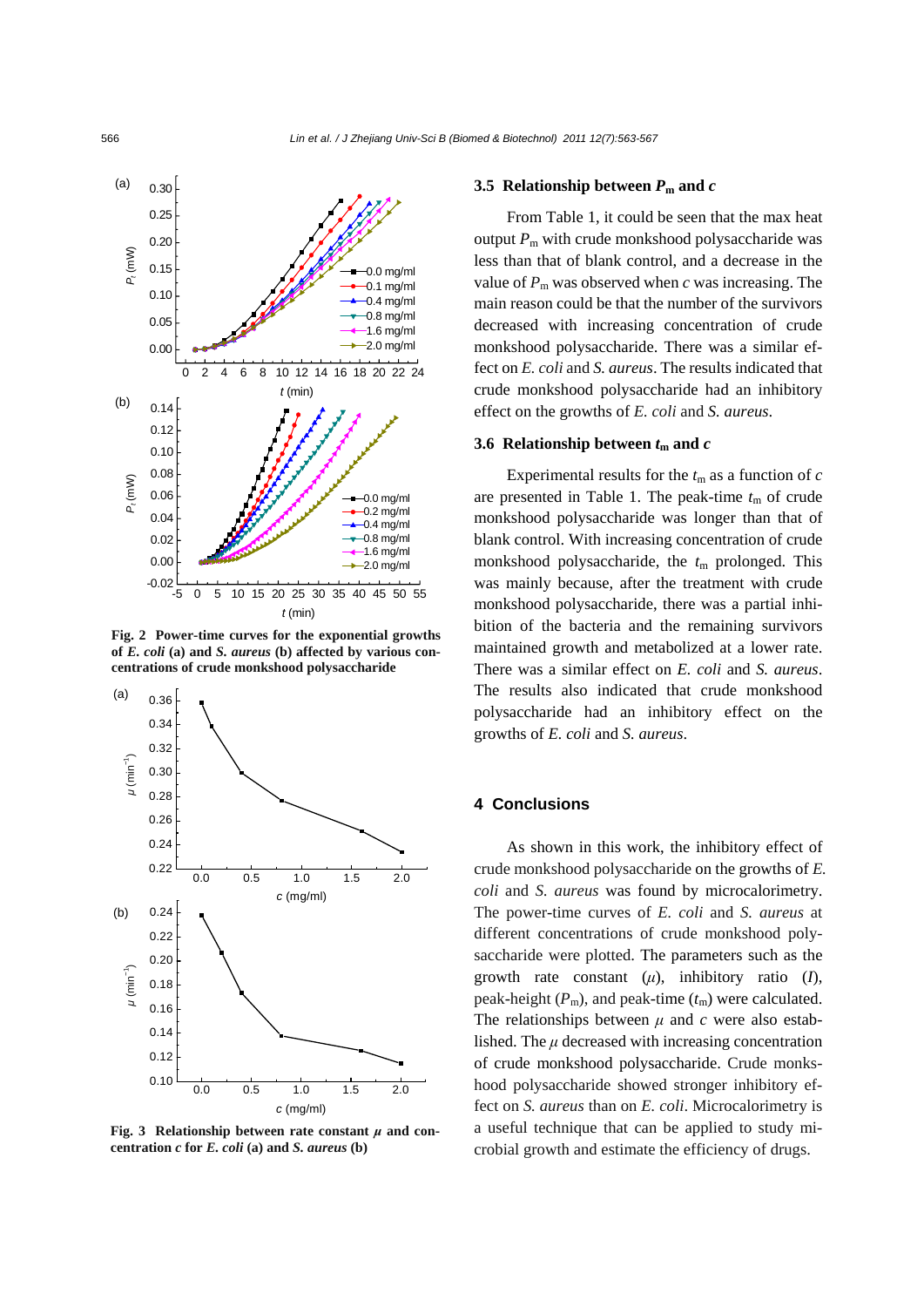

**Fig. 2 Power-time curves for the exponential growths of** *E. coli* **(a) and** *S. aureus* **(b) affected by various concentrations of crude monkshood polysaccharide** 



**Fig. 3 Relationship between rate constant** *μ* **and concentration** *c* **for** *E. coli* **(a) and** *S. aureus* **(b)** 

## **3.5 Relationship between**  $P_m$  **and**  $c$

From Table 1, it could be seen that the max heat output  $P_m$  with crude monkshood polysaccharide was less than that of blank control, and a decrease in the value of  $P_m$  was observed when *c* was increasing. The main reason could be that the number of the survivors decreased with increasing concentration of crude monkshood polysaccharide. There was a similar effect on *E. coli* and *S. aureus*. The results indicated that crude monkshood polysaccharide had an inhibitory effect on the growths of *E. coli* and *S. aureus*.

### **3.6 Relationship between**  $t_m$  **and**  $c$

Experimental results for the  $t_m$  as a function of  $c$ are presented in Table 1. The peak-time  $t_m$  of crude monkshood polysaccharide was longer than that of blank control. With increasing concentration of crude monkshood polysaccharide, the  $t_m$  prolonged. This was mainly because, after the treatment with crude monkshood polysaccharide, there was a partial inhibition of the bacteria and the remaining survivors maintained growth and metabolized at a lower rate. There was a similar effect on *E. coli* and *S. aureus*. The results also indicated that crude monkshood polysaccharide had an inhibitory effect on the growths of *E. coli* and *S. aureus*.

## **4 Conclusions**

As shown in this work, the inhibitory effect of crude monkshood polysaccharide on the growths of *E. coli* and *S. aureus* was found by microcalorimetry. The power-time curves of *E. coli* and *S. aureus* at different concentrations of crude monkshood polysaccharide were plotted. The parameters such as the growth rate constant (*μ*), inhibitory ratio (*I*), peak-height  $(P_m)$ , and peak-time  $(t_m)$  were calculated. The relationships between  $\mu$  and  $c$  were also established. The  $\mu$  decreased with increasing concentration of crude monkshood polysaccharide. Crude monkshood polysaccharide showed stronger inhibitory effect on *S. aureus* than on *E. coli*. Microcalorimetry is a useful technique that can be applied to study microbial growth and estimate the efficiency of drugs.